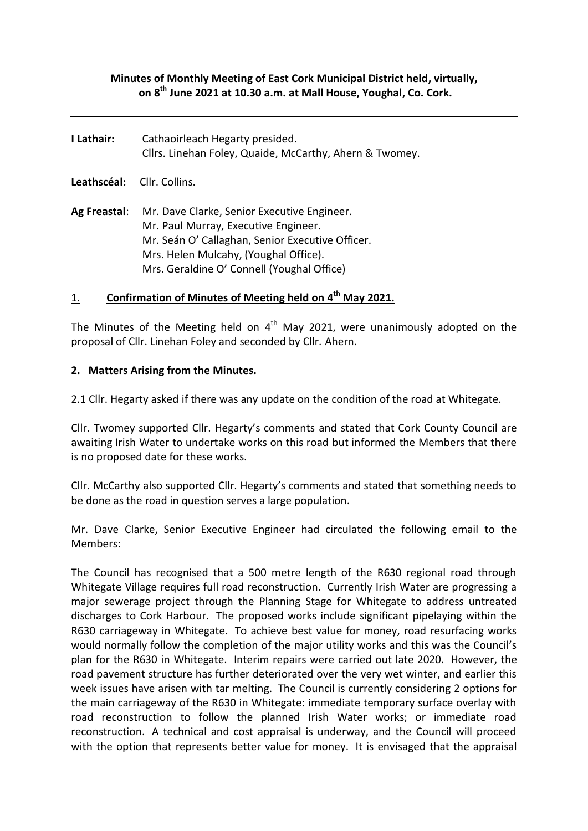# **Minutes of Monthly Meeting of East Cork Municipal District held, virtually, on 8 th June 2021 at 10.30 a.m. at Mall House, Youghal, Co. Cork.**

| I Lathair:                        | Cathaoirleach Hegarty presided.<br>Cllrs. Linehan Foley, Quaide, McCarthy, Ahern & Twomey.                                                                                                                                     |
|-----------------------------------|--------------------------------------------------------------------------------------------------------------------------------------------------------------------------------------------------------------------------------|
| <b>Leathscéal:</b> Cllr. Collins. |                                                                                                                                                                                                                                |
| Ag Freastal:                      | Mr. Dave Clarke, Senior Executive Engineer.<br>Mr. Paul Murray, Executive Engineer.<br>Mr. Seán O' Callaghan, Senior Executive Officer.<br>Mrs. Helen Mulcahy, (Youghal Office).<br>Mrs. Geraldine O' Connell (Youghal Office) |

# 1. **Confirmation of Minutes of Meeting held on 4 th May 2021.**

The Minutes of the Meeting held on  $4^{th}$  May 2021, were unanimously adopted on the proposal of Cllr. Linehan Foley and seconded by Cllr. Ahern.

## **2. Matters Arising from the Minutes.**

2.1 Cllr. Hegarty asked if there was any update on the condition of the road at Whitegate.

Cllr. Twomey supported Cllr. Hegarty's comments and stated that Cork County Council are awaiting Irish Water to undertake works on this road but informed the Members that there is no proposed date for these works.

Cllr. McCarthy also supported Cllr. Hegarty's comments and stated that something needs to be done as the road in question serves a large population.

Mr. Dave Clarke, Senior Executive Engineer had circulated the following email to the Members:

The Council has recognised that a 500 metre length of the R630 regional road through Whitegate Village requires full road reconstruction. Currently Irish Water are progressing a major sewerage project through the Planning Stage for Whitegate to address untreated discharges to Cork Harbour. The proposed works include significant pipelaying within the R630 carriageway in Whitegate. To achieve best value for money, road resurfacing works would normally follow the completion of the major utility works and this was the Council's plan for the R630 in Whitegate. Interim repairs were carried out late 2020. However, the road pavement structure has further deteriorated over the very wet winter, and earlier this week issues have arisen with tar melting. The Council is currently considering 2 options for the main carriageway of the R630 in Whitegate: immediate temporary surface overlay with road reconstruction to follow the planned Irish Water works; or immediate road reconstruction. A technical and cost appraisal is underway, and the Council will proceed with the option that represents better value for money. It is envisaged that the appraisal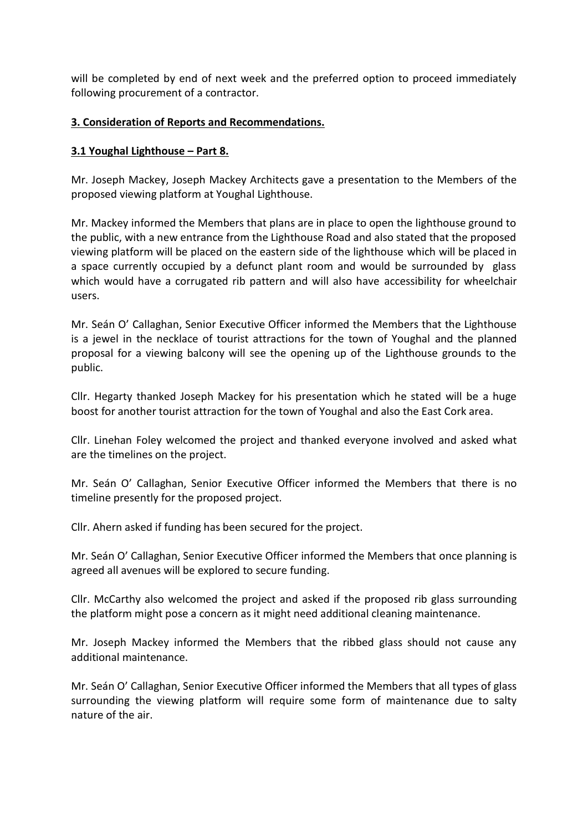will be completed by end of next week and the preferred option to proceed immediately following procurement of a contractor.

## **3. Consideration of Reports and Recommendations.**

## **3.1 Youghal Lighthouse – Part 8.**

Mr. Joseph Mackey, Joseph Mackey Architects gave a presentation to the Members of the proposed viewing platform at Youghal Lighthouse.

Mr. Mackey informed the Members that plans are in place to open the lighthouse ground to the public, with a new entrance from the Lighthouse Road and also stated that the proposed viewing platform will be placed on the eastern side of the lighthouse which will be placed in a space currently occupied by a defunct plant room and would be surrounded by glass which would have a corrugated rib pattern and will also have accessibility for wheelchair users.

Mr. Seán O' Callaghan, Senior Executive Officer informed the Members that the Lighthouse is a jewel in the necklace of tourist attractions for the town of Youghal and the planned proposal for a viewing balcony will see the opening up of the Lighthouse grounds to the public.

Cllr. Hegarty thanked Joseph Mackey for his presentation which he stated will be a huge boost for another tourist attraction for the town of Youghal and also the East Cork area.

Cllr. Linehan Foley welcomed the project and thanked everyone involved and asked what are the timelines on the project.

Mr. Seán O' Callaghan, Senior Executive Officer informed the Members that there is no timeline presently for the proposed project.

Cllr. Ahern asked if funding has been secured for the project.

Mr. Seán O' Callaghan, Senior Executive Officer informed the Members that once planning is agreed all avenues will be explored to secure funding.

Cllr. McCarthy also welcomed the project and asked if the proposed rib glass surrounding the platform might pose a concern as it might need additional cleaning maintenance.

Mr. Joseph Mackey informed the Members that the ribbed glass should not cause any additional maintenance.

Mr. Seán O' Callaghan, Senior Executive Officer informed the Members that all types of glass surrounding the viewing platform will require some form of maintenance due to salty nature of the air.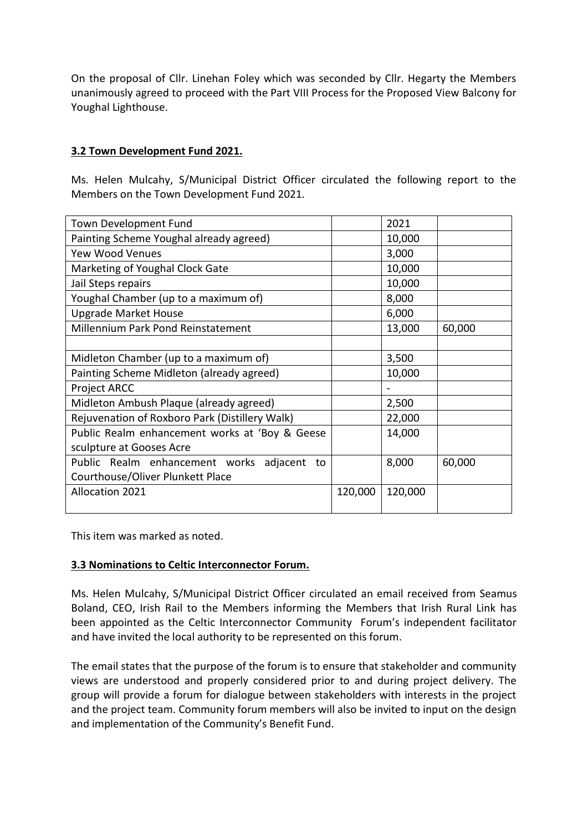On the proposal of Cllr. Linehan Foley which was seconded by Cllr. Hegarty the Members unanimously agreed to proceed with the Part VIII Process for the Proposed View Balcony for Youghal Lighthouse.

## **3.2 Town Development Fund 2021.**

Ms. Helen Mulcahy, S/Municipal District Officer circulated the following report to the Members on the Town Development Fund 2021.

| Town Development Fund                          |         | 2021    |        |
|------------------------------------------------|---------|---------|--------|
| Painting Scheme Youghal already agreed)        |         | 10,000  |        |
| <b>Yew Wood Venues</b>                         |         | 3,000   |        |
| Marketing of Youghal Clock Gate                |         | 10,000  |        |
| Jail Steps repairs                             |         | 10,000  |        |
| Youghal Chamber (up to a maximum of)           |         | 8,000   |        |
| <b>Upgrade Market House</b>                    |         | 6,000   |        |
| Millennium Park Pond Reinstatement             |         | 13,000  | 60,000 |
|                                                |         |         |        |
| Midleton Chamber (up to a maximum of)          |         | 3,500   |        |
| Painting Scheme Midleton (already agreed)      |         | 10,000  |        |
| <b>Project ARCC</b>                            |         |         |        |
| Midleton Ambush Plaque (already agreed)        |         | 2,500   |        |
| Rejuvenation of Roxboro Park (Distillery Walk) |         | 22,000  |        |
| Public Realm enhancement works at 'Boy & Geese |         | 14,000  |        |
| sculpture at Gooses Acre                       |         |         |        |
| Public Realm enhancement works adjacent<br>to  |         | 8,000   | 60,000 |
| Courthouse/Oliver Plunkett Place               |         |         |        |
| Allocation 2021                                | 120,000 | 120,000 |        |
|                                                |         |         |        |

This item was marked as noted.

## **3.3 Nominations to Celtic Interconnector Forum.**

Ms. Helen Mulcahy, S/Municipal District Officer circulated an email received from Seamus Boland, CEO, Irish Rail to the Members informing the Members that Irish Rural Link has been appointed as the Celtic Interconnector Community Forum's independent facilitator and have invited the local authority to be represented on this forum.

The email states that the purpose of the forum is to ensure that stakeholder and community views are understood and properly considered prior to and during project delivery. The group will provide a forum for dialogue between stakeholders with interests in the project and the project team. Community forum members will also be invited to input on the design and implementation of the Community's Benefit Fund.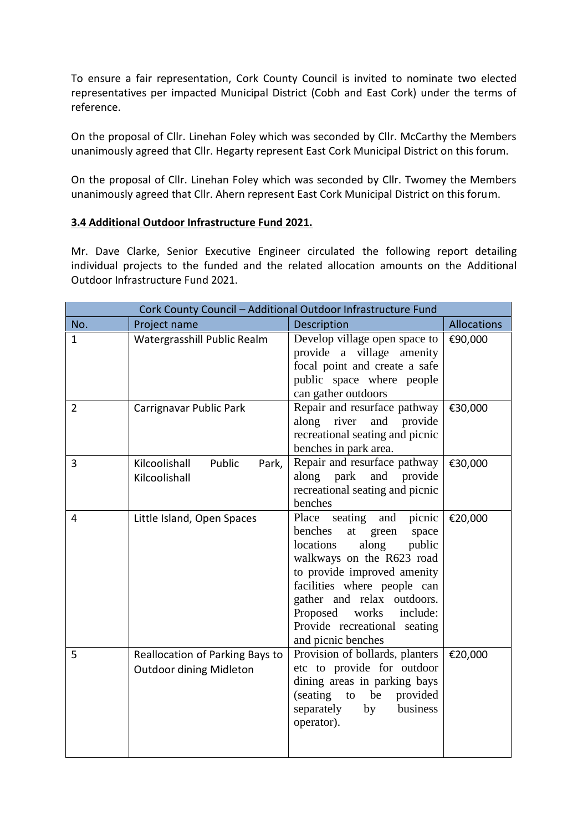To ensure a fair representation, Cork County Council is invited to nominate two elected representatives per impacted Municipal District (Cobh and East Cork) under the terms of reference.

On the proposal of Cllr. Linehan Foley which was seconded by Cllr. McCarthy the Members unanimously agreed that Cllr. Hegarty represent East Cork Municipal District on this forum.

On the proposal of Cllr. Linehan Foley which was seconded by Cllr. Twomey the Members unanimously agreed that Cllr. Ahern represent East Cork Municipal District on this forum.

## **3.4 Additional Outdoor Infrastructure Fund 2021.**

Mr. Dave Clarke, Senior Executive Engineer circulated the following report detailing individual projects to the funded and the related allocation amounts on the Additional Outdoor Infrastructure Fund 2021.

| Cork County Council - Additional Outdoor Infrastructure Fund |                                                            |                                                                                                                                                                                                                                                                                                             |                    |  |  |  |
|--------------------------------------------------------------|------------------------------------------------------------|-------------------------------------------------------------------------------------------------------------------------------------------------------------------------------------------------------------------------------------------------------------------------------------------------------------|--------------------|--|--|--|
| No.                                                          | Project name                                               | Description                                                                                                                                                                                                                                                                                                 | <b>Allocations</b> |  |  |  |
| $\mathbf{1}$                                                 | Watergrasshill Public Realm                                | Develop village open space to<br>provide a village amenity<br>focal point and create a safe<br>public space where people<br>can gather outdoors                                                                                                                                                             | €90,000            |  |  |  |
| $\overline{2}$                                               | Carrignavar Public Park                                    | Repair and resurface pathway<br>along river<br>and<br>provide<br>recreational seating and picnic<br>benches in park area.                                                                                                                                                                                   | €30,000            |  |  |  |
| 3                                                            | Kilcoolishall<br>Public<br>Park,<br>Kilcoolishall          | Repair and resurface pathway<br>along park<br>and provide<br>recreational seating and picnic<br>benches                                                                                                                                                                                                     | €30,000            |  |  |  |
| 4                                                            | Little Island, Open Spaces                                 | Place<br>seating and picnic<br>benches<br>at green<br>space<br>locations<br>along<br>public<br>walkways on the R623 road<br>to provide improved amenity<br>facilities where people can<br>gather and relax outdoors.<br>Proposed<br>works<br>include:<br>Provide recreational seating<br>and picnic benches | €20,000            |  |  |  |
| 5                                                            | Reallocation of Parking Bays to<br>Outdoor dining Midleton | Provision of bollards, planters<br>etc to provide for outdoor<br>dining areas in parking bays<br>(seating to be provided<br>business<br>separately<br>by<br>operator).                                                                                                                                      | €20,000            |  |  |  |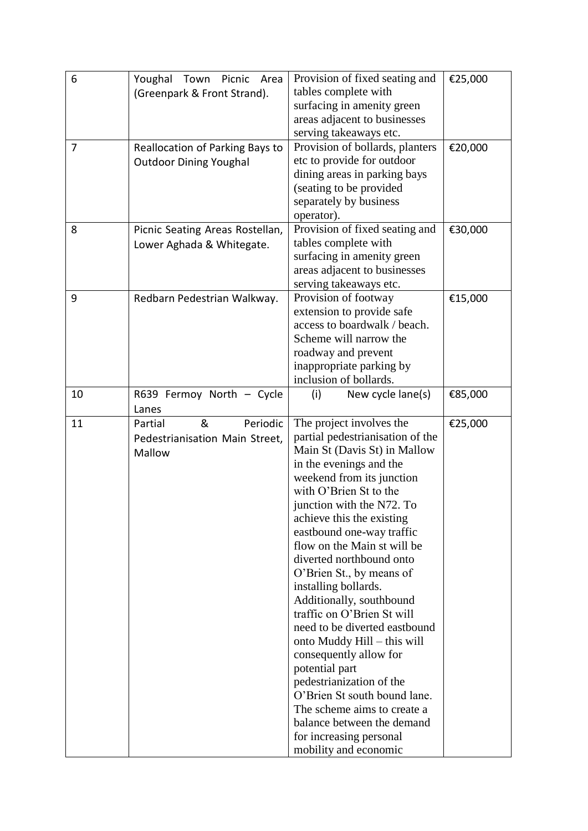| 6  | Youghal Town<br>Picnic<br>Area<br>(Greenpark & Front Strand).        | Provision of fixed seating and<br>tables complete with<br>surfacing in amenity green<br>areas adjacent to businesses<br>serving takeaways etc.                                                                                                                                                                                                                                                                                                                                                                                                                                                                                                                                                                                          | €25,000 |
|----|----------------------------------------------------------------------|-----------------------------------------------------------------------------------------------------------------------------------------------------------------------------------------------------------------------------------------------------------------------------------------------------------------------------------------------------------------------------------------------------------------------------------------------------------------------------------------------------------------------------------------------------------------------------------------------------------------------------------------------------------------------------------------------------------------------------------------|---------|
| 7  | Reallocation of Parking Bays to<br><b>Outdoor Dining Youghal</b>     | Provision of bollards, planters<br>etc to provide for outdoor<br>dining areas in parking bays<br>(seating to be provided<br>separately by business<br>operator).                                                                                                                                                                                                                                                                                                                                                                                                                                                                                                                                                                        | €20,000 |
| 8  | Picnic Seating Areas Rostellan,<br>Lower Aghada & Whitegate.         | Provision of fixed seating and<br>tables complete with<br>surfacing in amenity green<br>areas adjacent to businesses<br>serving takeaways etc.                                                                                                                                                                                                                                                                                                                                                                                                                                                                                                                                                                                          | €30,000 |
| 9  | Redbarn Pedestrian Walkway.                                          | Provision of footway<br>extension to provide safe<br>access to boardwalk / beach.<br>Scheme will narrow the<br>roadway and prevent<br>inappropriate parking by<br>inclusion of bollards.                                                                                                                                                                                                                                                                                                                                                                                                                                                                                                                                                | €15,000 |
| 10 | R639 Fermoy North - Cycle<br>Lanes                                   | New cycle lane(s)<br>(i)                                                                                                                                                                                                                                                                                                                                                                                                                                                                                                                                                                                                                                                                                                                | €85,000 |
| 11 | &<br>Periodic<br>Partial<br>Pedestrianisation Main Street,<br>Mallow | The project involves the<br>partial pedestrianisation of the<br>Main St (Davis St) in Mallow<br>in the evenings and the<br>weekend from its junction<br>with O'Brien St to the<br>junction with the N72. To<br>achieve this the existing<br>eastbound one-way traffic<br>flow on the Main st will be<br>diverted northbound onto<br>O'Brien St., by means of<br>installing bollards.<br>Additionally, southbound<br>traffic on O'Brien St will<br>need to be diverted eastbound<br>onto Muddy Hill – this will<br>consequently allow for<br>potential part<br>pedestrianization of the<br>O'Brien St south bound lane.<br>The scheme aims to create a<br>balance between the demand<br>for increasing personal<br>mobility and economic | €25,000 |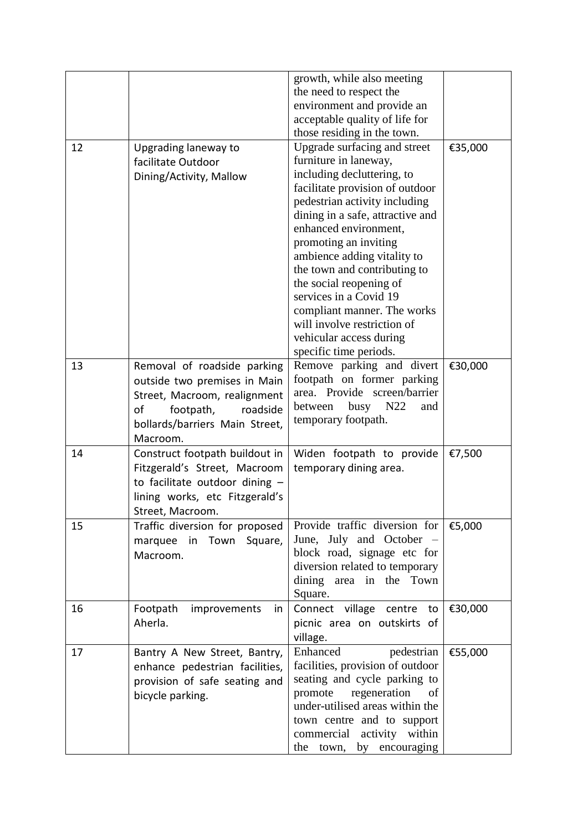|    |                                                                                                                                                                          | growth, while also meeting<br>the need to respect the<br>environment and provide an<br>acceptable quality of life for<br>those residing in the town.                                                                                                                                                                                                                                                                                                                                 |         |
|----|--------------------------------------------------------------------------------------------------------------------------------------------------------------------------|--------------------------------------------------------------------------------------------------------------------------------------------------------------------------------------------------------------------------------------------------------------------------------------------------------------------------------------------------------------------------------------------------------------------------------------------------------------------------------------|---------|
| 12 | Upgrading laneway to<br>facilitate Outdoor<br>Dining/Activity, Mallow                                                                                                    | Upgrade surfacing and street<br>furniture in laneway,<br>including decluttering, to<br>facilitate provision of outdoor<br>pedestrian activity including<br>dining in a safe, attractive and<br>enhanced environment,<br>promoting an inviting<br>ambience adding vitality to<br>the town and contributing to<br>the social reopening of<br>services in a Covid 19<br>compliant manner. The works<br>will involve restriction of<br>vehicular access during<br>specific time periods. | €35,000 |
| 13 | Removal of roadside parking<br>outside two premises in Main<br>Street, Macroom, realignment<br>footpath,<br>οf<br>roadside<br>bollards/barriers Main Street,<br>Macroom. | Remove parking and divert<br>footpath on former parking<br>area. Provide screen/barrier<br>N22<br>busy<br>between<br>and<br>temporary footpath.                                                                                                                                                                                                                                                                                                                                      | €30,000 |
| 14 | Construct footpath buildout in<br>Fitzgerald's Street, Macroom<br>to facilitate outdoor dining -<br>lining works, etc Fitzgerald's<br>Street, Macroom.                   | Widen footpath to provide<br>temporary dining area.                                                                                                                                                                                                                                                                                                                                                                                                                                  | €7,500  |
| 15 | Traffic diversion for proposed<br>Town Square,<br>marquee<br>in<br>Macroom.                                                                                              | Provide traffic diversion for<br>June, July and October –<br>block road, signage etc for<br>diversion related to temporary<br>dining area in the Town<br>Square.                                                                                                                                                                                                                                                                                                                     | €5,000  |
| 16 | Footpath<br>improvements<br>in.<br>Aherla.                                                                                                                               | Connect village centre<br>to<br>picnic area on outskirts of<br>village.                                                                                                                                                                                                                                                                                                                                                                                                              | €30,000 |
| 17 | Bantry A New Street, Bantry,<br>enhance pedestrian facilities,<br>provision of safe seating and<br>bicycle parking.                                                      | Enhanced<br>pedestrian<br>facilities, provision of outdoor<br>seating and cycle parking to<br>promote<br>regeneration<br>of<br>under-utilised areas within the<br>town centre and to support<br>commercial activity within<br>the town, by encouraging                                                                                                                                                                                                                               | €55,000 |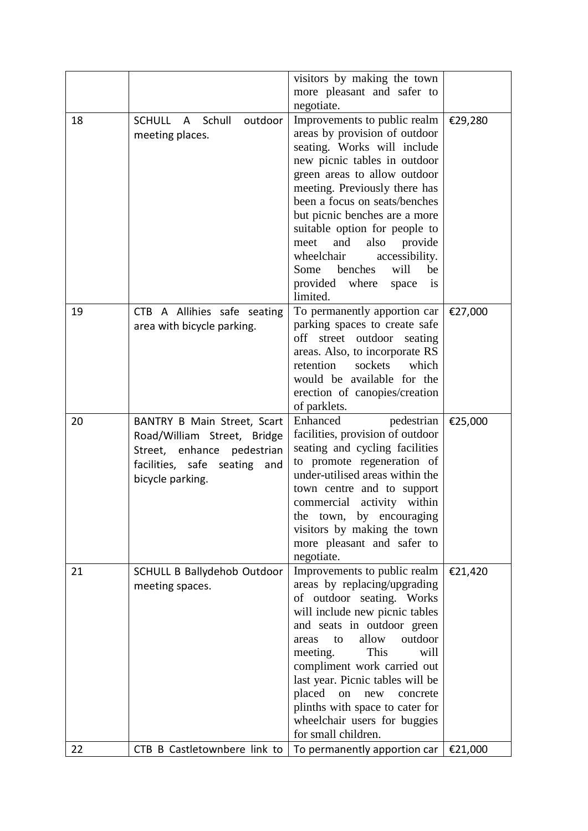|    |                               | visitors by making the town<br>more pleasant and safer to     |         |
|----|-------------------------------|---------------------------------------------------------------|---------|
|    |                               | negotiate.                                                    |         |
| 18 | SCHULL A<br>Schull<br>outdoor | Improvements to public realm                                  | €29,280 |
|    | meeting places.               | areas by provision of outdoor                                 |         |
|    |                               | seating. Works will include                                   |         |
|    |                               | new picnic tables in outdoor                                  |         |
|    |                               | green areas to allow outdoor                                  |         |
|    |                               | meeting. Previously there has                                 |         |
|    |                               | been a focus on seats/benches                                 |         |
|    |                               | but picnic benches are a more                                 |         |
|    |                               | suitable option for people to                                 |         |
|    |                               | meet<br>and<br>also<br>provide                                |         |
|    |                               | wheelchair<br>accessibility.                                  |         |
|    |                               | will<br>Some benches<br>be                                    |         |
|    |                               | provided where<br>space is                                    |         |
|    |                               | limited.                                                      |         |
| 19 | CTB A Allihies safe seating   | To permanently apportion car                                  | €27,000 |
|    | area with bicycle parking.    | parking spaces to create safe                                 |         |
|    |                               | street outdoor seating<br>off                                 |         |
|    |                               | areas. Also, to incorporate RS                                |         |
|    |                               | which<br>retention<br>sockets<br>would be available for the   |         |
|    |                               |                                                               |         |
|    |                               | erection of canopies/creation<br>of parklets.                 |         |
|    |                               |                                                               |         |
|    |                               |                                                               |         |
| 20 | BANTRY B Main Street, Scart   | Enhanced<br>pedestrian                                        | €25,000 |
|    | Road/William Street, Bridge   | facilities, provision of outdoor                              |         |
|    | Street, enhance pedestrian    | seating and cycling facilities                                |         |
|    | facilities, safe seating and  | to promote regeneration of                                    |         |
|    | bicycle parking.              | under-utilised areas within the<br>town centre and to support |         |
|    |                               | commercial activity within                                    |         |
|    |                               | the town, by encouraging                                      |         |
|    |                               | visitors by making the town                                   |         |
|    |                               | more pleasant and safer to                                    |         |
|    |                               | negotiate.                                                    |         |
| 21 | SCHULL B Ballydehob Outdoor   | Improvements to public realm                                  | €21,420 |
|    | meeting spaces.               | areas by replacing/upgrading                                  |         |
|    |                               | of outdoor seating. Works                                     |         |
|    |                               | will include new picnic tables                                |         |
|    |                               | and seats in outdoor green                                    |         |
|    |                               | allow<br>outdoor<br>to<br>areas                               |         |
|    |                               | This<br>meeting.<br>will                                      |         |
|    |                               | compliment work carried out                                   |         |
|    |                               | last year. Picnic tables will be                              |         |
|    |                               | placed<br>on<br>concrete<br>new                               |         |
|    |                               | plinths with space to cater for                               |         |
|    |                               | wheelchair users for buggies<br>for small children.           |         |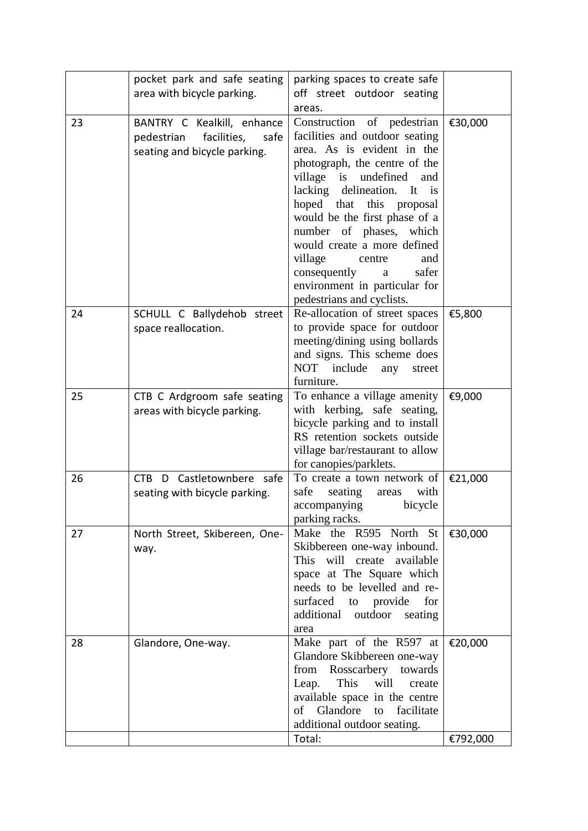|    | pocket park and safe seating           | parking spaces to create safe                                 |          |
|----|----------------------------------------|---------------------------------------------------------------|----------|
|    | area with bicycle parking.             | off street outdoor seating                                    |          |
|    |                                        | areas.                                                        |          |
| 23 | BANTRY C Kealkill, enhance             | Construction of pedestrian                                    | €30,000  |
|    | facilities,<br>pedestrian<br>safe      | facilities and outdoor seating                                |          |
|    | seating and bicycle parking.           | area. As is evident in the                                    |          |
|    |                                        | photograph, the centre of the                                 |          |
|    |                                        | village<br>is<br>undefined<br>and                             |          |
|    |                                        | lacking delineation.<br>It<br>$\overline{1}$                  |          |
|    |                                        | hoped that this proposal                                      |          |
|    |                                        | would be the first phase of a                                 |          |
|    |                                        | number of phases, which                                       |          |
|    |                                        | would create a more defined                                   |          |
|    |                                        | village<br>centre<br>and                                      |          |
|    |                                        | safer<br>consequently<br>a                                    |          |
|    |                                        | environment in particular for                                 |          |
|    |                                        | pedestrians and cyclists.                                     |          |
| 24 | SCHULL C Ballydehob street             | Re-allocation of street spaces                                | €5,800   |
|    | space reallocation.                    | to provide space for outdoor<br>meeting/dining using bollards |          |
|    |                                        | and signs. This scheme does                                   |          |
|    |                                        | NOT<br>include<br>any<br>street                               |          |
|    |                                        | furniture.                                                    |          |
| 25 | CTB C Ardgroom safe seating            | To enhance a village amenity                                  | €9,000   |
|    | areas with bicycle parking.            | with kerbing, safe seating,                                   |          |
|    |                                        | bicycle parking and to install                                |          |
|    |                                        | RS retention sockets outside                                  |          |
|    |                                        | village bar/restaurant to allow                               |          |
|    |                                        | for canopies/parklets.                                        |          |
| 26 | Castletownbere safe<br><b>CTB</b><br>D | To create a town network of                                   | €21,000  |
|    | seating with bicycle parking.          | safe<br>seating<br>with<br>areas                              |          |
|    |                                        | accompanying<br>bicycle                                       |          |
|    |                                        | parking racks.                                                |          |
| 27 | North Street, Skibereen, One-          | Make the R595 North St                                        | €30,000  |
|    | way.                                   | Skibbereen one-way inbound.                                   |          |
|    |                                        | This will create available                                    |          |
|    |                                        | space at The Square which<br>needs to be levelled and re-     |          |
|    |                                        | surfaced<br>for<br>to provide                                 |          |
|    |                                        | additional<br>outdoor<br>seating                              |          |
|    |                                        | area                                                          |          |
| 28 | Glandore, One-way.                     | Make part of the R597 at                                      | €20,000  |
|    |                                        | Glandore Skibbereen one-way                                   |          |
|    |                                        | Rosscarbery<br>from<br>towards                                |          |
|    |                                        | This<br>will<br>Leap.<br>create                               |          |
|    |                                        | available space in the centre                                 |          |
|    |                                        | Glandore<br>to<br>facilitate<br>of                            |          |
|    |                                        | additional outdoor seating.                                   |          |
|    |                                        | Total:                                                        | €792,000 |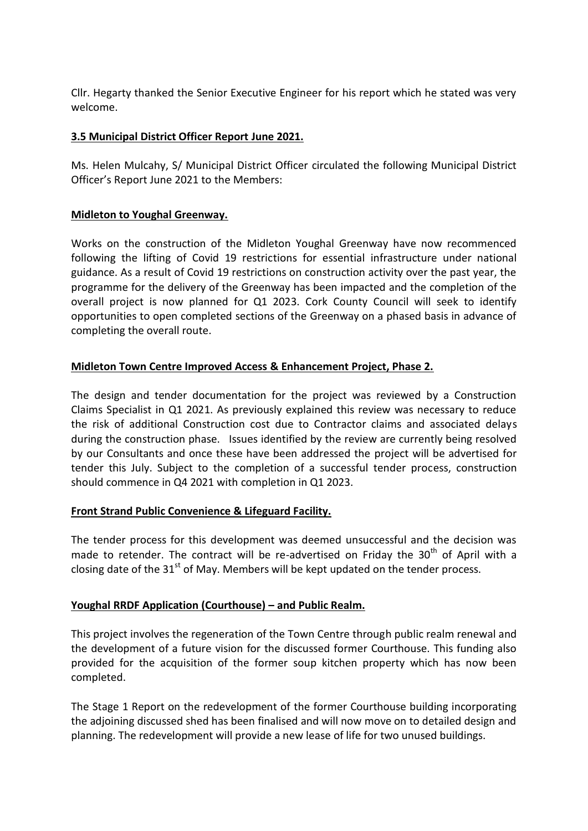Cllr. Hegarty thanked the Senior Executive Engineer for his report which he stated was very welcome.

## **3.5 Municipal District Officer Report June 2021.**

Ms. Helen Mulcahy, S/ Municipal District Officer circulated the following Municipal District Officer's Report June 2021 to the Members:

## **Midleton to Youghal Greenway.**

Works on the construction of the Midleton Youghal Greenway have now recommenced following the lifting of Covid 19 restrictions for essential infrastructure under national guidance. As a result of Covid 19 restrictions on construction activity over the past year, the programme for the delivery of the Greenway has been impacted and the completion of the overall project is now planned for Q1 2023. Cork County Council will seek to identify opportunities to open completed sections of the Greenway on a phased basis in advance of completing the overall route.

# **Midleton Town Centre Improved Access & Enhancement Project, Phase 2.**

The design and tender documentation for the project was reviewed by a Construction Claims Specialist in Q1 2021. As previously explained this review was necessary to reduce the risk of additional Construction cost due to Contractor claims and associated delays during the construction phase. Issues identified by the review are currently being resolved by our Consultants and once these have been addressed the project will be advertised for tender this July. Subject to the completion of a successful tender process, construction should commence in Q4 2021 with completion in Q1 2023.

## **Front Strand Public Convenience & Lifeguard Facility.**

The tender process for this development was deemed unsuccessful and the decision was made to retender. The contract will be re-advertised on Friday the  $30<sup>th</sup>$  of April with a closing date of the  $31<sup>st</sup>$  of May. Members will be kept updated on the tender process.

# **Youghal RRDF Application (Courthouse) – and Public Realm.**

This project involves the regeneration of the Town Centre through public realm renewal and the development of a future vision for the discussed former Courthouse. This funding also provided for the acquisition of the former soup kitchen property which has now been completed.

The Stage 1 Report on the redevelopment of the former Courthouse building incorporating the adjoining discussed shed has been finalised and will now move on to detailed design and planning. The redevelopment will provide a new lease of life for two unused buildings.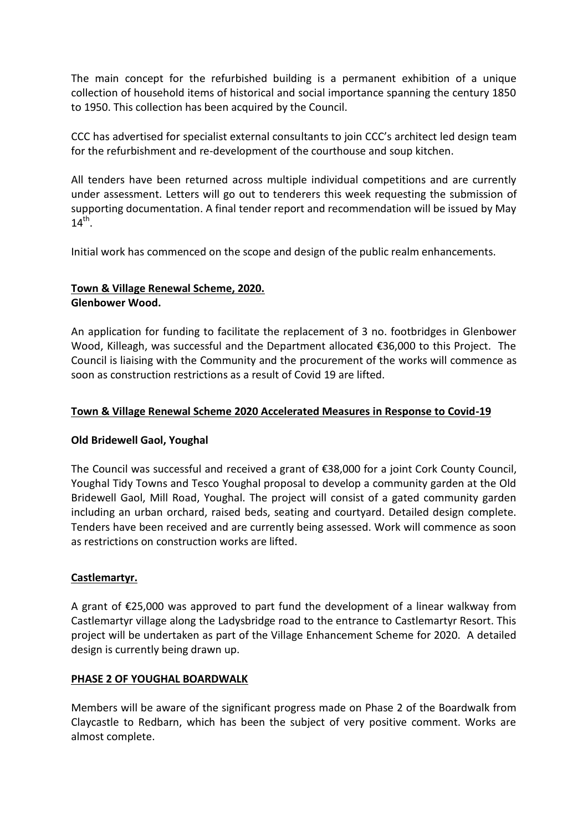The main concept for the refurbished building is a permanent exhibition of a unique collection of household items of historical and social importance spanning the century 1850 to 1950. This collection has been acquired by the Council.

CCC has advertised for specialist external consultants to join CCC's architect led design team for the refurbishment and re-development of the courthouse and soup kitchen.

All tenders have been returned across multiple individual competitions and are currently under assessment. Letters will go out to tenderers this week requesting the submission of supporting documentation. A final tender report and recommendation will be issued by May  $14^{th}$ .

Initial work has commenced on the scope and design of the public realm enhancements.

# **Town & Village Renewal Scheme, 2020. Glenbower Wood.**

An application for funding to facilitate the replacement of 3 no. footbridges in Glenbower Wood, Killeagh, was successful and the Department allocated €36,000 to this Project. The Council is liaising with the Community and the procurement of the works will commence as soon as construction restrictions as a result of Covid 19 are lifted.

# **Town & Village Renewal Scheme 2020 Accelerated Measures in Response to Covid-19**

# **Old Bridewell Gaol, Youghal**

The Council was successful and received a grant of €38,000 for a joint Cork County Council, Youghal Tidy Towns and Tesco Youghal proposal to develop a community garden at the Old Bridewell Gaol, Mill Road, Youghal. The project will consist of a gated community garden including an urban orchard, raised beds, seating and courtyard. Detailed design complete. Tenders have been received and are currently being assessed. Work will commence as soon as restrictions on construction works are lifted.

## **Castlemartyr.**

A grant of €25,000 was approved to part fund the development of a linear walkway from Castlemartyr village along the Ladysbridge road to the entrance to Castlemartyr Resort. This project will be undertaken as part of the Village Enhancement Scheme for 2020. A detailed design is currently being drawn up.

## **PHASE 2 OF YOUGHAL BOARDWALK**

Members will be aware of the significant progress made on Phase 2 of the Boardwalk from Claycastle to Redbarn, which has been the subject of very positive comment. Works are almost complete.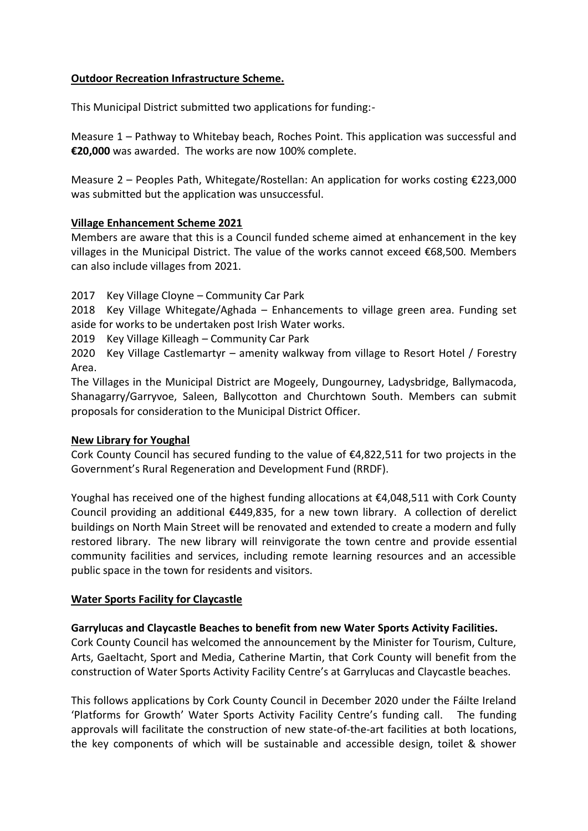## **Outdoor Recreation Infrastructure Scheme.**

This Municipal District submitted two applications for funding:-

Measure 1 – Pathway to Whitebay beach, Roches Point. This application was successful and **€20,000** was awarded. The works are now 100% complete.

Measure 2 – Peoples Path, Whitegate/Rostellan: An application for works costing €223,000 was submitted but the application was unsuccessful.

## **Village Enhancement Scheme 2021**

Members are aware that this is a Council funded scheme aimed at enhancement in the key villages in the Municipal District. The value of the works cannot exceed €68,500. Members can also include villages from 2021.

2017 Key Village Cloyne – Community Car Park

2018 Key Village Whitegate/Aghada – Enhancements to village green area. Funding set aside for works to be undertaken post Irish Water works.

2019 Key Village Killeagh – Community Car Park

2020 Key Village Castlemartyr – amenity walkway from village to Resort Hotel / Forestry Area.

The Villages in the Municipal District are Mogeely, Dungourney, Ladysbridge, Ballymacoda, Shanagarry/Garryvoe, Saleen, Ballycotton and Churchtown South. Members can submit proposals for consideration to the Municipal District Officer.

## **New Library for Youghal**

Cork County Council has secured funding to the value of  $E4,822,511$  for two projects in the Government's Rural Regeneration and Development Fund (RRDF).

Youghal has received one of the highest funding allocations at €4,048,511 with Cork County Council providing an additional €449,835, for a new town library. A collection of derelict buildings on North Main Street will be renovated and extended to create a modern and fully restored library. The new library will reinvigorate the town centre and provide essential community facilities and services, including remote learning resources and an accessible public space in the town for residents and visitors.

## **Water Sports Facility for Claycastle**

# **Garrylucas and Claycastle Beaches to benefit from new Water Sports Activity Facilities.**

Cork County Council has welcomed the announcement by the Minister for Tourism, Culture, Arts, Gaeltacht, Sport and Media, Catherine Martin, that Cork County will benefit from the construction of Water Sports Activity Facility Centre's at Garrylucas and Claycastle beaches.

This follows applications by Cork County Council in December 2020 under the Fáilte Ireland 'Platforms for Growth' Water Sports Activity Facility Centre's funding call. The funding approvals will facilitate the construction of new state-of-the-art facilities at both locations, the key components of which will be sustainable and accessible design, toilet & shower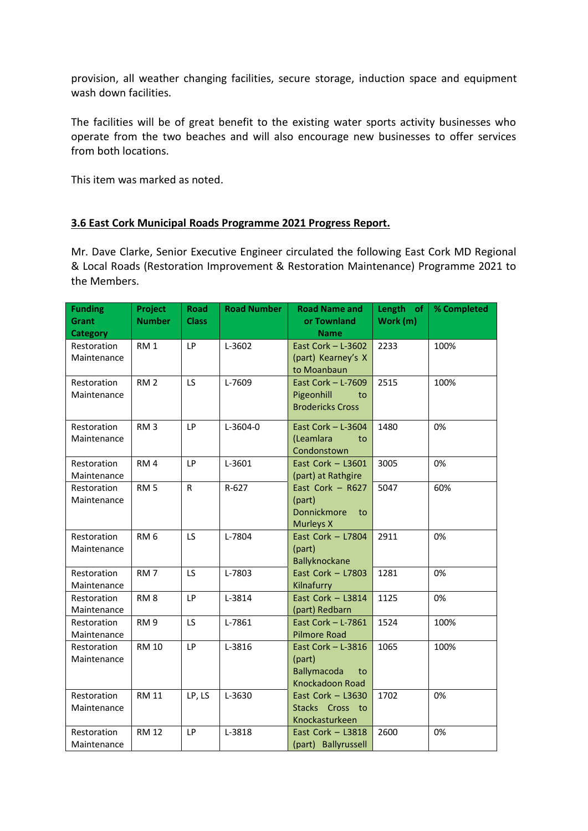provision, all weather changing facilities, secure storage, induction space and equipment wash down facilities.

The facilities will be of great benefit to the existing water sports activity businesses who operate from the two beaches and will also encourage new businesses to offer services from both locations.

This item was marked as noted.

## **3.6 East Cork Municipal Roads Programme 2021 Progress Report.**

Mr. Dave Clarke, Senior Executive Engineer circulated the following East Cork MD Regional & Local Roads (Restoration Improvement & Restoration Maintenance) Programme 2021 to the Members.

| <b>Funding</b>  | Project         | <b>Road</b>  | <b>Road Number</b> | <b>Road Name and</b>     | Length of $ $ | % Completed |
|-----------------|-----------------|--------------|--------------------|--------------------------|---------------|-------------|
| Grant           | <b>Number</b>   | <b>Class</b> |                    | or Townland              | Work (m)      |             |
| <b>Category</b> |                 |              |                    | <b>Name</b>              |               |             |
| Restoration     | RM <sub>1</sub> | <b>LP</b>    | L-3602             | East Cork $-$ L-3602     | 2233          | 100%        |
| Maintenance     |                 |              |                    | (part) Kearney's X       |               |             |
|                 |                 |              |                    | to Moanbaun              |               |             |
| Restoration     | RM <sub>2</sub> | LS.          | L-7609             | East Cork - L-7609       | 2515          | 100%        |
| Maintenance     |                 |              |                    | Pigeonhill<br>to         |               |             |
|                 |                 |              |                    | <b>Brodericks Cross</b>  |               |             |
| Restoration     | RM <sub>3</sub> | <b>LP</b>    | $L - 3604 - 0$     | East Cork $-$ L-3604     | 1480          | 0%          |
| Maintenance     |                 |              |                    | (Leamlara<br>to          |               |             |
|                 |                 |              |                    | Condonstown              |               |             |
| Restoration     | RM4             | <b>LP</b>    | L-3601             | East Cork $-$ L3601      | 3005          | 0%          |
| Maintenance     |                 |              |                    | (part) at Rathgire       |               |             |
| Restoration     | RM <sub>5</sub> | $\mathsf{R}$ | R-627              | East Cork $-$ R627       | 5047          | 60%         |
| Maintenance     |                 |              |                    | (part)                   |               |             |
|                 |                 |              |                    | Donnickmore<br>to        |               |             |
|                 |                 |              |                    | <b>Murleys X</b>         |               |             |
| Restoration     | RM <sub>6</sub> | LS.          | L-7804             | East Cork - L7804        | 2911          | 0%          |
| Maintenance     |                 |              |                    | (part)                   |               |             |
|                 |                 |              |                    | Ballyknockane            |               |             |
| Restoration     | RM <sub>7</sub> | LS.          | L-7803             | East Cork $-$ L7803      | 1281          | 0%          |
| Maintenance     |                 |              |                    | Kilnafurry               |               |             |
| Restoration     | RM <sub>8</sub> | LP           | L-3814             | East Cork - L3814        | 1125          | 0%          |
| Maintenance     |                 |              |                    | (part) Redbarn           |               |             |
| Restoration     | RM <sub>9</sub> | LS.          | L-7861             | East Cork - L-7861       | 1524          | 100%        |
| Maintenance     |                 |              |                    | <b>Pilmore Road</b>      |               |             |
| Restoration     | <b>RM 10</b>    | LP           | L-3816             | East Cork $-$ L-3816     | 1065          | 100%        |
| Maintenance     |                 |              |                    | (part)                   |               |             |
|                 |                 |              |                    | <b>Ballymacoda</b><br>to |               |             |
|                 |                 |              |                    | Knockadoon Road          |               |             |
| Restoration     | <b>RM 11</b>    | LP, LS       | L-3630             | East Cork $-$ L3630      | 1702          | 0%          |
| Maintenance     |                 |              |                    | Stacks Cross to          |               |             |
|                 |                 |              |                    | Knockasturkeen           |               |             |
| Restoration     | <b>RM 12</b>    | LP           | L-3818             | East Cork - L3818        | 2600          | 0%          |
| Maintenance     |                 |              |                    | (part) Ballyrussell      |               |             |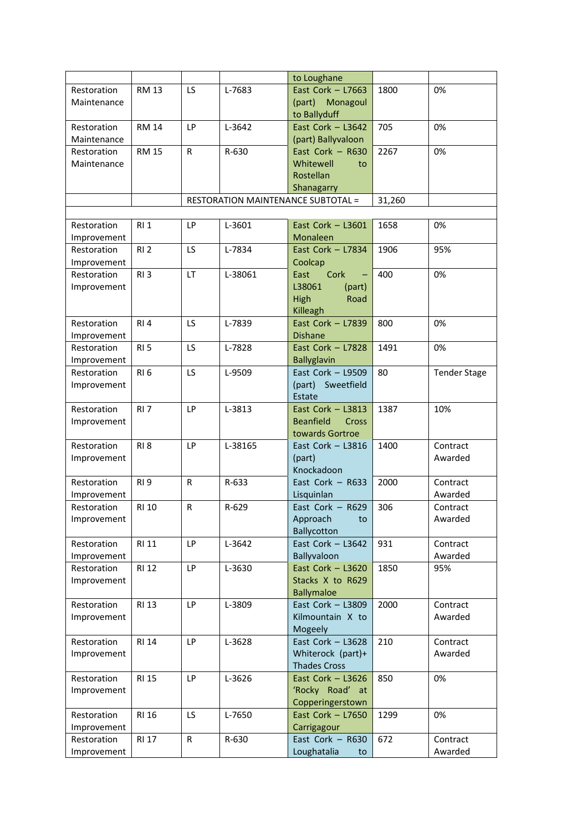| East Cork $-$ L7663<br>Restoration<br><b>RM 13</b><br>LS.<br>L-7683<br>1800<br>0%<br>(part) Monagoul<br>Maintenance<br>to Ballyduff<br>East Cork $-$ L3642<br><b>RM 14</b><br>705<br><b>LP</b><br>L-3642<br>0%<br>Restoration<br>(part) Ballyvaloon<br>Maintenance<br><b>RM 15</b><br>R-630<br>East Cork $-$ R630<br>2267<br>0%<br>Restoration<br>R<br>Whitewell<br>Maintenance<br>to<br>Rostellan<br>Shanagarry<br><b>RESTORATION MAINTENANCE SUBTOTAL =</b><br>31,260<br>R11<br>LP<br>L-3601<br>East Cork $-$ L3601<br>1658<br>0%<br>Restoration<br>Monaleen<br>Improvement<br>Restoration<br>RI <sub>2</sub><br>LS.<br>L-7834<br>East Cork $-$ L7834<br>1906<br>95%<br>Coolcap<br>Improvement<br>Restoration<br>RI <sub>3</sub><br><b>LT</b><br>L-38061<br>Cork<br>400<br>East<br>0%<br>L38061<br>Improvement<br>(part)<br>High<br>Road<br>Killeagh<br>RI4<br>LS.<br>East Cork $-$ L7839<br>800<br>0%<br>Restoration<br>L-7839<br><b>Dishane</b><br>Improvement<br>RI <sub>5</sub><br>LS<br>East Cork - L7828<br>0%<br>Restoration<br>L-7828<br>1491<br><b>Ballyglavin</b><br>Improvement<br>RI <sub>6</sub><br>LS<br>East Cork - L9509<br>L-9509<br>80<br>Restoration<br><b>Tender Stage</b><br>(part) Sweetfield<br>Improvement<br>Estate<br>RI <sub>7</sub><br>LP<br>L-3813<br>1387<br>10%<br>Restoration<br>East Cork $-$ L3813<br><b>Beanfield</b><br>Cross<br>Improvement<br>towards Gortroe<br>RI <sub>8</sub><br>Restoration<br><b>LP</b><br>L-38165<br>East Cork $-$ L3816<br>1400<br>Contract<br>(part)<br>Awarded<br>Improvement<br>Knockadoon<br>RI <sub>9</sub><br>2000<br>Restoration<br>R<br>R-633<br>East Cork $-$ R633<br>Contract<br>Lisquinlan<br>Awarded<br>Improvement<br>East Cork - R629<br>306<br><b>RI 10</b><br>R<br>R-629<br>Restoration<br>Contract<br>Approach<br>Awarded<br>Improvement<br>to<br>Ballycotton<br>Restoration<br>RI 11<br>L-3642<br>East Cork - L3642<br>931<br>LP<br>Contract<br>Ballyvaloon<br>Awarded<br>Improvement<br><b>RI 12</b><br>LP<br>East Cork $-$ L3620<br>1850<br>95%<br>Restoration<br>L-3630<br>Stacks X to R629<br>Improvement<br><b>Ballymaloe</b><br><b>RI 13</b><br>East Cork - L3809<br>2000<br>Restoration<br>LP<br>L-3809<br>Contract<br>Kilmountain X to<br>Awarded<br>Improvement<br>Mogeely<br>Restoration<br><b>RI 14</b><br>LP<br>L-3628<br>East Cork - L3628<br>210<br>Contract<br>Whiterock (part)+<br>Awarded<br>Improvement<br><b>Thades Cross</b><br><b>RI 15</b><br>LP<br>East Cork $-$ L3626<br>850<br>Restoration<br>L-3626<br>0%<br>'Rocky Road' at<br>Improvement<br>Copperingerstown<br><b>RI 16</b><br>LS<br>L-7650<br>East Cork $-$ L7650<br>Restoration<br>1299<br>0%<br>Improvement<br>Carrigagour<br>Restoration<br>R<br>East Cork $-$ R630<br>Contract<br><b>RI 17</b><br>R-630<br>672<br>Loughatalia<br>Awarded<br>Improvement<br>to |  |  | to Loughane |  |
|-----------------------------------------------------------------------------------------------------------------------------------------------------------------------------------------------------------------------------------------------------------------------------------------------------------------------------------------------------------------------------------------------------------------------------------------------------------------------------------------------------------------------------------------------------------------------------------------------------------------------------------------------------------------------------------------------------------------------------------------------------------------------------------------------------------------------------------------------------------------------------------------------------------------------------------------------------------------------------------------------------------------------------------------------------------------------------------------------------------------------------------------------------------------------------------------------------------------------------------------------------------------------------------------------------------------------------------------------------------------------------------------------------------------------------------------------------------------------------------------------------------------------------------------------------------------------------------------------------------------------------------------------------------------------------------------------------------------------------------------------------------------------------------------------------------------------------------------------------------------------------------------------------------------------------------------------------------------------------------------------------------------------------------------------------------------------------------------------------------------------------------------------------------------------------------------------------------------------------------------------------------------------------------------------------------------------------------------------------------------------------------------------------------------------------------------------------------------------------------------------------------------------------------------------------------------------------------------------------------------------------------------------------------------------------------------------------------------------------------------------------------------------------------------------------------------------------------|--|--|-------------|--|
|                                                                                                                                                                                                                                                                                                                                                                                                                                                                                                                                                                                                                                                                                                                                                                                                                                                                                                                                                                                                                                                                                                                                                                                                                                                                                                                                                                                                                                                                                                                                                                                                                                                                                                                                                                                                                                                                                                                                                                                                                                                                                                                                                                                                                                                                                                                                                                                                                                                                                                                                                                                                                                                                                                                                                                                                                                   |  |  |             |  |
|                                                                                                                                                                                                                                                                                                                                                                                                                                                                                                                                                                                                                                                                                                                                                                                                                                                                                                                                                                                                                                                                                                                                                                                                                                                                                                                                                                                                                                                                                                                                                                                                                                                                                                                                                                                                                                                                                                                                                                                                                                                                                                                                                                                                                                                                                                                                                                                                                                                                                                                                                                                                                                                                                                                                                                                                                                   |  |  |             |  |
|                                                                                                                                                                                                                                                                                                                                                                                                                                                                                                                                                                                                                                                                                                                                                                                                                                                                                                                                                                                                                                                                                                                                                                                                                                                                                                                                                                                                                                                                                                                                                                                                                                                                                                                                                                                                                                                                                                                                                                                                                                                                                                                                                                                                                                                                                                                                                                                                                                                                                                                                                                                                                                                                                                                                                                                                                                   |  |  |             |  |
|                                                                                                                                                                                                                                                                                                                                                                                                                                                                                                                                                                                                                                                                                                                                                                                                                                                                                                                                                                                                                                                                                                                                                                                                                                                                                                                                                                                                                                                                                                                                                                                                                                                                                                                                                                                                                                                                                                                                                                                                                                                                                                                                                                                                                                                                                                                                                                                                                                                                                                                                                                                                                                                                                                                                                                                                                                   |  |  |             |  |
|                                                                                                                                                                                                                                                                                                                                                                                                                                                                                                                                                                                                                                                                                                                                                                                                                                                                                                                                                                                                                                                                                                                                                                                                                                                                                                                                                                                                                                                                                                                                                                                                                                                                                                                                                                                                                                                                                                                                                                                                                                                                                                                                                                                                                                                                                                                                                                                                                                                                                                                                                                                                                                                                                                                                                                                                                                   |  |  |             |  |
|                                                                                                                                                                                                                                                                                                                                                                                                                                                                                                                                                                                                                                                                                                                                                                                                                                                                                                                                                                                                                                                                                                                                                                                                                                                                                                                                                                                                                                                                                                                                                                                                                                                                                                                                                                                                                                                                                                                                                                                                                                                                                                                                                                                                                                                                                                                                                                                                                                                                                                                                                                                                                                                                                                                                                                                                                                   |  |  |             |  |
|                                                                                                                                                                                                                                                                                                                                                                                                                                                                                                                                                                                                                                                                                                                                                                                                                                                                                                                                                                                                                                                                                                                                                                                                                                                                                                                                                                                                                                                                                                                                                                                                                                                                                                                                                                                                                                                                                                                                                                                                                                                                                                                                                                                                                                                                                                                                                                                                                                                                                                                                                                                                                                                                                                                                                                                                                                   |  |  |             |  |
|                                                                                                                                                                                                                                                                                                                                                                                                                                                                                                                                                                                                                                                                                                                                                                                                                                                                                                                                                                                                                                                                                                                                                                                                                                                                                                                                                                                                                                                                                                                                                                                                                                                                                                                                                                                                                                                                                                                                                                                                                                                                                                                                                                                                                                                                                                                                                                                                                                                                                                                                                                                                                                                                                                                                                                                                                                   |  |  |             |  |
|                                                                                                                                                                                                                                                                                                                                                                                                                                                                                                                                                                                                                                                                                                                                                                                                                                                                                                                                                                                                                                                                                                                                                                                                                                                                                                                                                                                                                                                                                                                                                                                                                                                                                                                                                                                                                                                                                                                                                                                                                                                                                                                                                                                                                                                                                                                                                                                                                                                                                                                                                                                                                                                                                                                                                                                                                                   |  |  |             |  |
|                                                                                                                                                                                                                                                                                                                                                                                                                                                                                                                                                                                                                                                                                                                                                                                                                                                                                                                                                                                                                                                                                                                                                                                                                                                                                                                                                                                                                                                                                                                                                                                                                                                                                                                                                                                                                                                                                                                                                                                                                                                                                                                                                                                                                                                                                                                                                                                                                                                                                                                                                                                                                                                                                                                                                                                                                                   |  |  |             |  |
|                                                                                                                                                                                                                                                                                                                                                                                                                                                                                                                                                                                                                                                                                                                                                                                                                                                                                                                                                                                                                                                                                                                                                                                                                                                                                                                                                                                                                                                                                                                                                                                                                                                                                                                                                                                                                                                                                                                                                                                                                                                                                                                                                                                                                                                                                                                                                                                                                                                                                                                                                                                                                                                                                                                                                                                                                                   |  |  |             |  |
|                                                                                                                                                                                                                                                                                                                                                                                                                                                                                                                                                                                                                                                                                                                                                                                                                                                                                                                                                                                                                                                                                                                                                                                                                                                                                                                                                                                                                                                                                                                                                                                                                                                                                                                                                                                                                                                                                                                                                                                                                                                                                                                                                                                                                                                                                                                                                                                                                                                                                                                                                                                                                                                                                                                                                                                                                                   |  |  |             |  |
|                                                                                                                                                                                                                                                                                                                                                                                                                                                                                                                                                                                                                                                                                                                                                                                                                                                                                                                                                                                                                                                                                                                                                                                                                                                                                                                                                                                                                                                                                                                                                                                                                                                                                                                                                                                                                                                                                                                                                                                                                                                                                                                                                                                                                                                                                                                                                                                                                                                                                                                                                                                                                                                                                                                                                                                                                                   |  |  |             |  |
|                                                                                                                                                                                                                                                                                                                                                                                                                                                                                                                                                                                                                                                                                                                                                                                                                                                                                                                                                                                                                                                                                                                                                                                                                                                                                                                                                                                                                                                                                                                                                                                                                                                                                                                                                                                                                                                                                                                                                                                                                                                                                                                                                                                                                                                                                                                                                                                                                                                                                                                                                                                                                                                                                                                                                                                                                                   |  |  |             |  |
|                                                                                                                                                                                                                                                                                                                                                                                                                                                                                                                                                                                                                                                                                                                                                                                                                                                                                                                                                                                                                                                                                                                                                                                                                                                                                                                                                                                                                                                                                                                                                                                                                                                                                                                                                                                                                                                                                                                                                                                                                                                                                                                                                                                                                                                                                                                                                                                                                                                                                                                                                                                                                                                                                                                                                                                                                                   |  |  |             |  |
|                                                                                                                                                                                                                                                                                                                                                                                                                                                                                                                                                                                                                                                                                                                                                                                                                                                                                                                                                                                                                                                                                                                                                                                                                                                                                                                                                                                                                                                                                                                                                                                                                                                                                                                                                                                                                                                                                                                                                                                                                                                                                                                                                                                                                                                                                                                                                                                                                                                                                                                                                                                                                                                                                                                                                                                                                                   |  |  |             |  |
|                                                                                                                                                                                                                                                                                                                                                                                                                                                                                                                                                                                                                                                                                                                                                                                                                                                                                                                                                                                                                                                                                                                                                                                                                                                                                                                                                                                                                                                                                                                                                                                                                                                                                                                                                                                                                                                                                                                                                                                                                                                                                                                                                                                                                                                                                                                                                                                                                                                                                                                                                                                                                                                                                                                                                                                                                                   |  |  |             |  |
|                                                                                                                                                                                                                                                                                                                                                                                                                                                                                                                                                                                                                                                                                                                                                                                                                                                                                                                                                                                                                                                                                                                                                                                                                                                                                                                                                                                                                                                                                                                                                                                                                                                                                                                                                                                                                                                                                                                                                                                                                                                                                                                                                                                                                                                                                                                                                                                                                                                                                                                                                                                                                                                                                                                                                                                                                                   |  |  |             |  |
|                                                                                                                                                                                                                                                                                                                                                                                                                                                                                                                                                                                                                                                                                                                                                                                                                                                                                                                                                                                                                                                                                                                                                                                                                                                                                                                                                                                                                                                                                                                                                                                                                                                                                                                                                                                                                                                                                                                                                                                                                                                                                                                                                                                                                                                                                                                                                                                                                                                                                                                                                                                                                                                                                                                                                                                                                                   |  |  |             |  |
|                                                                                                                                                                                                                                                                                                                                                                                                                                                                                                                                                                                                                                                                                                                                                                                                                                                                                                                                                                                                                                                                                                                                                                                                                                                                                                                                                                                                                                                                                                                                                                                                                                                                                                                                                                                                                                                                                                                                                                                                                                                                                                                                                                                                                                                                                                                                                                                                                                                                                                                                                                                                                                                                                                                                                                                                                                   |  |  |             |  |
|                                                                                                                                                                                                                                                                                                                                                                                                                                                                                                                                                                                                                                                                                                                                                                                                                                                                                                                                                                                                                                                                                                                                                                                                                                                                                                                                                                                                                                                                                                                                                                                                                                                                                                                                                                                                                                                                                                                                                                                                                                                                                                                                                                                                                                                                                                                                                                                                                                                                                                                                                                                                                                                                                                                                                                                                                                   |  |  |             |  |
|                                                                                                                                                                                                                                                                                                                                                                                                                                                                                                                                                                                                                                                                                                                                                                                                                                                                                                                                                                                                                                                                                                                                                                                                                                                                                                                                                                                                                                                                                                                                                                                                                                                                                                                                                                                                                                                                                                                                                                                                                                                                                                                                                                                                                                                                                                                                                                                                                                                                                                                                                                                                                                                                                                                                                                                                                                   |  |  |             |  |
|                                                                                                                                                                                                                                                                                                                                                                                                                                                                                                                                                                                                                                                                                                                                                                                                                                                                                                                                                                                                                                                                                                                                                                                                                                                                                                                                                                                                                                                                                                                                                                                                                                                                                                                                                                                                                                                                                                                                                                                                                                                                                                                                                                                                                                                                                                                                                                                                                                                                                                                                                                                                                                                                                                                                                                                                                                   |  |  |             |  |
|                                                                                                                                                                                                                                                                                                                                                                                                                                                                                                                                                                                                                                                                                                                                                                                                                                                                                                                                                                                                                                                                                                                                                                                                                                                                                                                                                                                                                                                                                                                                                                                                                                                                                                                                                                                                                                                                                                                                                                                                                                                                                                                                                                                                                                                                                                                                                                                                                                                                                                                                                                                                                                                                                                                                                                                                                                   |  |  |             |  |
|                                                                                                                                                                                                                                                                                                                                                                                                                                                                                                                                                                                                                                                                                                                                                                                                                                                                                                                                                                                                                                                                                                                                                                                                                                                                                                                                                                                                                                                                                                                                                                                                                                                                                                                                                                                                                                                                                                                                                                                                                                                                                                                                                                                                                                                                                                                                                                                                                                                                                                                                                                                                                                                                                                                                                                                                                                   |  |  |             |  |
|                                                                                                                                                                                                                                                                                                                                                                                                                                                                                                                                                                                                                                                                                                                                                                                                                                                                                                                                                                                                                                                                                                                                                                                                                                                                                                                                                                                                                                                                                                                                                                                                                                                                                                                                                                                                                                                                                                                                                                                                                                                                                                                                                                                                                                                                                                                                                                                                                                                                                                                                                                                                                                                                                                                                                                                                                                   |  |  |             |  |
|                                                                                                                                                                                                                                                                                                                                                                                                                                                                                                                                                                                                                                                                                                                                                                                                                                                                                                                                                                                                                                                                                                                                                                                                                                                                                                                                                                                                                                                                                                                                                                                                                                                                                                                                                                                                                                                                                                                                                                                                                                                                                                                                                                                                                                                                                                                                                                                                                                                                                                                                                                                                                                                                                                                                                                                                                                   |  |  |             |  |
|                                                                                                                                                                                                                                                                                                                                                                                                                                                                                                                                                                                                                                                                                                                                                                                                                                                                                                                                                                                                                                                                                                                                                                                                                                                                                                                                                                                                                                                                                                                                                                                                                                                                                                                                                                                                                                                                                                                                                                                                                                                                                                                                                                                                                                                                                                                                                                                                                                                                                                                                                                                                                                                                                                                                                                                                                                   |  |  |             |  |
|                                                                                                                                                                                                                                                                                                                                                                                                                                                                                                                                                                                                                                                                                                                                                                                                                                                                                                                                                                                                                                                                                                                                                                                                                                                                                                                                                                                                                                                                                                                                                                                                                                                                                                                                                                                                                                                                                                                                                                                                                                                                                                                                                                                                                                                                                                                                                                                                                                                                                                                                                                                                                                                                                                                                                                                                                                   |  |  |             |  |
|                                                                                                                                                                                                                                                                                                                                                                                                                                                                                                                                                                                                                                                                                                                                                                                                                                                                                                                                                                                                                                                                                                                                                                                                                                                                                                                                                                                                                                                                                                                                                                                                                                                                                                                                                                                                                                                                                                                                                                                                                                                                                                                                                                                                                                                                                                                                                                                                                                                                                                                                                                                                                                                                                                                                                                                                                                   |  |  |             |  |
|                                                                                                                                                                                                                                                                                                                                                                                                                                                                                                                                                                                                                                                                                                                                                                                                                                                                                                                                                                                                                                                                                                                                                                                                                                                                                                                                                                                                                                                                                                                                                                                                                                                                                                                                                                                                                                                                                                                                                                                                                                                                                                                                                                                                                                                                                                                                                                                                                                                                                                                                                                                                                                                                                                                                                                                                                                   |  |  |             |  |
|                                                                                                                                                                                                                                                                                                                                                                                                                                                                                                                                                                                                                                                                                                                                                                                                                                                                                                                                                                                                                                                                                                                                                                                                                                                                                                                                                                                                                                                                                                                                                                                                                                                                                                                                                                                                                                                                                                                                                                                                                                                                                                                                                                                                                                                                                                                                                                                                                                                                                                                                                                                                                                                                                                                                                                                                                                   |  |  |             |  |
|                                                                                                                                                                                                                                                                                                                                                                                                                                                                                                                                                                                                                                                                                                                                                                                                                                                                                                                                                                                                                                                                                                                                                                                                                                                                                                                                                                                                                                                                                                                                                                                                                                                                                                                                                                                                                                                                                                                                                                                                                                                                                                                                                                                                                                                                                                                                                                                                                                                                                                                                                                                                                                                                                                                                                                                                                                   |  |  |             |  |
|                                                                                                                                                                                                                                                                                                                                                                                                                                                                                                                                                                                                                                                                                                                                                                                                                                                                                                                                                                                                                                                                                                                                                                                                                                                                                                                                                                                                                                                                                                                                                                                                                                                                                                                                                                                                                                                                                                                                                                                                                                                                                                                                                                                                                                                                                                                                                                                                                                                                                                                                                                                                                                                                                                                                                                                                                                   |  |  |             |  |
|                                                                                                                                                                                                                                                                                                                                                                                                                                                                                                                                                                                                                                                                                                                                                                                                                                                                                                                                                                                                                                                                                                                                                                                                                                                                                                                                                                                                                                                                                                                                                                                                                                                                                                                                                                                                                                                                                                                                                                                                                                                                                                                                                                                                                                                                                                                                                                                                                                                                                                                                                                                                                                                                                                                                                                                                                                   |  |  |             |  |
|                                                                                                                                                                                                                                                                                                                                                                                                                                                                                                                                                                                                                                                                                                                                                                                                                                                                                                                                                                                                                                                                                                                                                                                                                                                                                                                                                                                                                                                                                                                                                                                                                                                                                                                                                                                                                                                                                                                                                                                                                                                                                                                                                                                                                                                                                                                                                                                                                                                                                                                                                                                                                                                                                                                                                                                                                                   |  |  |             |  |
|                                                                                                                                                                                                                                                                                                                                                                                                                                                                                                                                                                                                                                                                                                                                                                                                                                                                                                                                                                                                                                                                                                                                                                                                                                                                                                                                                                                                                                                                                                                                                                                                                                                                                                                                                                                                                                                                                                                                                                                                                                                                                                                                                                                                                                                                                                                                                                                                                                                                                                                                                                                                                                                                                                                                                                                                                                   |  |  |             |  |
|                                                                                                                                                                                                                                                                                                                                                                                                                                                                                                                                                                                                                                                                                                                                                                                                                                                                                                                                                                                                                                                                                                                                                                                                                                                                                                                                                                                                                                                                                                                                                                                                                                                                                                                                                                                                                                                                                                                                                                                                                                                                                                                                                                                                                                                                                                                                                                                                                                                                                                                                                                                                                                                                                                                                                                                                                                   |  |  |             |  |
|                                                                                                                                                                                                                                                                                                                                                                                                                                                                                                                                                                                                                                                                                                                                                                                                                                                                                                                                                                                                                                                                                                                                                                                                                                                                                                                                                                                                                                                                                                                                                                                                                                                                                                                                                                                                                                                                                                                                                                                                                                                                                                                                                                                                                                                                                                                                                                                                                                                                                                                                                                                                                                                                                                                                                                                                                                   |  |  |             |  |
|                                                                                                                                                                                                                                                                                                                                                                                                                                                                                                                                                                                                                                                                                                                                                                                                                                                                                                                                                                                                                                                                                                                                                                                                                                                                                                                                                                                                                                                                                                                                                                                                                                                                                                                                                                                                                                                                                                                                                                                                                                                                                                                                                                                                                                                                                                                                                                                                                                                                                                                                                                                                                                                                                                                                                                                                                                   |  |  |             |  |
|                                                                                                                                                                                                                                                                                                                                                                                                                                                                                                                                                                                                                                                                                                                                                                                                                                                                                                                                                                                                                                                                                                                                                                                                                                                                                                                                                                                                                                                                                                                                                                                                                                                                                                                                                                                                                                                                                                                                                                                                                                                                                                                                                                                                                                                                                                                                                                                                                                                                                                                                                                                                                                                                                                                                                                                                                                   |  |  |             |  |
|                                                                                                                                                                                                                                                                                                                                                                                                                                                                                                                                                                                                                                                                                                                                                                                                                                                                                                                                                                                                                                                                                                                                                                                                                                                                                                                                                                                                                                                                                                                                                                                                                                                                                                                                                                                                                                                                                                                                                                                                                                                                                                                                                                                                                                                                                                                                                                                                                                                                                                                                                                                                                                                                                                                                                                                                                                   |  |  |             |  |
|                                                                                                                                                                                                                                                                                                                                                                                                                                                                                                                                                                                                                                                                                                                                                                                                                                                                                                                                                                                                                                                                                                                                                                                                                                                                                                                                                                                                                                                                                                                                                                                                                                                                                                                                                                                                                                                                                                                                                                                                                                                                                                                                                                                                                                                                                                                                                                                                                                                                                                                                                                                                                                                                                                                                                                                                                                   |  |  |             |  |
|                                                                                                                                                                                                                                                                                                                                                                                                                                                                                                                                                                                                                                                                                                                                                                                                                                                                                                                                                                                                                                                                                                                                                                                                                                                                                                                                                                                                                                                                                                                                                                                                                                                                                                                                                                                                                                                                                                                                                                                                                                                                                                                                                                                                                                                                                                                                                                                                                                                                                                                                                                                                                                                                                                                                                                                                                                   |  |  |             |  |
|                                                                                                                                                                                                                                                                                                                                                                                                                                                                                                                                                                                                                                                                                                                                                                                                                                                                                                                                                                                                                                                                                                                                                                                                                                                                                                                                                                                                                                                                                                                                                                                                                                                                                                                                                                                                                                                                                                                                                                                                                                                                                                                                                                                                                                                                                                                                                                                                                                                                                                                                                                                                                                                                                                                                                                                                                                   |  |  |             |  |
|                                                                                                                                                                                                                                                                                                                                                                                                                                                                                                                                                                                                                                                                                                                                                                                                                                                                                                                                                                                                                                                                                                                                                                                                                                                                                                                                                                                                                                                                                                                                                                                                                                                                                                                                                                                                                                                                                                                                                                                                                                                                                                                                                                                                                                                                                                                                                                                                                                                                                                                                                                                                                                                                                                                                                                                                                                   |  |  |             |  |
|                                                                                                                                                                                                                                                                                                                                                                                                                                                                                                                                                                                                                                                                                                                                                                                                                                                                                                                                                                                                                                                                                                                                                                                                                                                                                                                                                                                                                                                                                                                                                                                                                                                                                                                                                                                                                                                                                                                                                                                                                                                                                                                                                                                                                                                                                                                                                                                                                                                                                                                                                                                                                                                                                                                                                                                                                                   |  |  |             |  |
|                                                                                                                                                                                                                                                                                                                                                                                                                                                                                                                                                                                                                                                                                                                                                                                                                                                                                                                                                                                                                                                                                                                                                                                                                                                                                                                                                                                                                                                                                                                                                                                                                                                                                                                                                                                                                                                                                                                                                                                                                                                                                                                                                                                                                                                                                                                                                                                                                                                                                                                                                                                                                                                                                                                                                                                                                                   |  |  |             |  |
|                                                                                                                                                                                                                                                                                                                                                                                                                                                                                                                                                                                                                                                                                                                                                                                                                                                                                                                                                                                                                                                                                                                                                                                                                                                                                                                                                                                                                                                                                                                                                                                                                                                                                                                                                                                                                                                                                                                                                                                                                                                                                                                                                                                                                                                                                                                                                                                                                                                                                                                                                                                                                                                                                                                                                                                                                                   |  |  |             |  |
|                                                                                                                                                                                                                                                                                                                                                                                                                                                                                                                                                                                                                                                                                                                                                                                                                                                                                                                                                                                                                                                                                                                                                                                                                                                                                                                                                                                                                                                                                                                                                                                                                                                                                                                                                                                                                                                                                                                                                                                                                                                                                                                                                                                                                                                                                                                                                                                                                                                                                                                                                                                                                                                                                                                                                                                                                                   |  |  |             |  |
|                                                                                                                                                                                                                                                                                                                                                                                                                                                                                                                                                                                                                                                                                                                                                                                                                                                                                                                                                                                                                                                                                                                                                                                                                                                                                                                                                                                                                                                                                                                                                                                                                                                                                                                                                                                                                                                                                                                                                                                                                                                                                                                                                                                                                                                                                                                                                                                                                                                                                                                                                                                                                                                                                                                                                                                                                                   |  |  |             |  |
|                                                                                                                                                                                                                                                                                                                                                                                                                                                                                                                                                                                                                                                                                                                                                                                                                                                                                                                                                                                                                                                                                                                                                                                                                                                                                                                                                                                                                                                                                                                                                                                                                                                                                                                                                                                                                                                                                                                                                                                                                                                                                                                                                                                                                                                                                                                                                                                                                                                                                                                                                                                                                                                                                                                                                                                                                                   |  |  |             |  |
|                                                                                                                                                                                                                                                                                                                                                                                                                                                                                                                                                                                                                                                                                                                                                                                                                                                                                                                                                                                                                                                                                                                                                                                                                                                                                                                                                                                                                                                                                                                                                                                                                                                                                                                                                                                                                                                                                                                                                                                                                                                                                                                                                                                                                                                                                                                                                                                                                                                                                                                                                                                                                                                                                                                                                                                                                                   |  |  |             |  |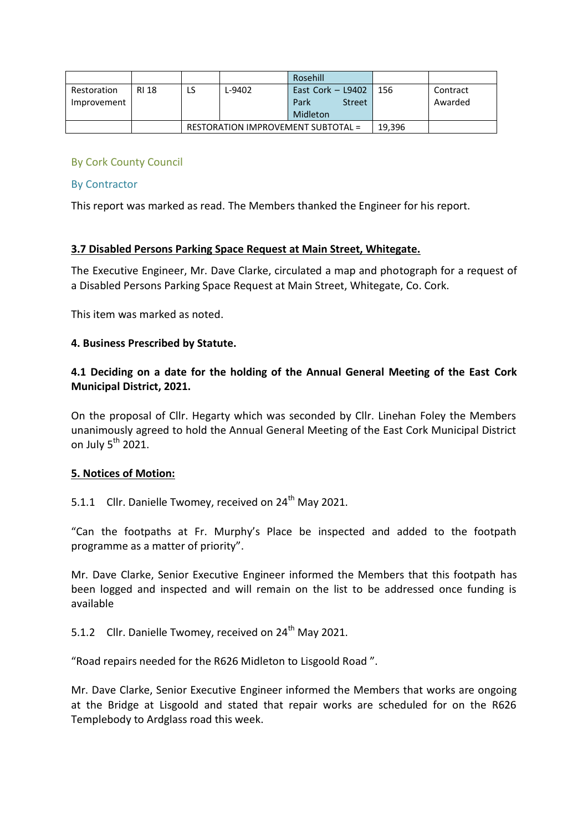|             |       |                                           | Rosehill            |               |     |          |
|-------------|-------|-------------------------------------------|---------------------|---------------|-----|----------|
| Restoration | RI 18 | L-9402                                    | East Cork $-$ L9402 |               | 156 | Contract |
| Improvement |       |                                           | Park                | <b>Street</b> |     | Awarded  |
|             |       |                                           | Midleton            |               |     |          |
|             |       | <b>RESTORATION IMPROVEMENT SUBTOTAL =</b> | 19.396              |               |     |          |

# By Cork County Council

## By Contractor

This report was marked as read. The Members thanked the Engineer for his report.

## **3.7 Disabled Persons Parking Space Request at Main Street, Whitegate.**

The Executive Engineer, Mr. Dave Clarke, circulated a map and photograph for a request of a Disabled Persons Parking Space Request at Main Street, Whitegate, Co. Cork.

This item was marked as noted.

## **4. Business Prescribed by Statute.**

# **4.1 Deciding on a date for the holding of the Annual General Meeting of the East Cork Municipal District, 2021.**

On the proposal of Cllr. Hegarty which was seconded by Cllr. Linehan Foley the Members unanimously agreed to hold the Annual General Meeting of the East Cork Municipal District on July  $5^{th}$  2021.

## **5. Notices of Motion:**

5.1.1 Cllr. Danielle Twomey, received on 24<sup>th</sup> May 2021.

"Can the footpaths at Fr. Murphy's Place be inspected and added to the footpath programme as a matter of priority".

Mr. Dave Clarke, Senior Executive Engineer informed the Members that this footpath has been logged and inspected and will remain on the list to be addressed once funding is available

5.1.2 Cllr. Danielle Twomey, received on  $24<sup>th</sup>$  May 2021.

"Road repairs needed for the R626 Midleton to Lisgoold Road ".

Mr. Dave Clarke, Senior Executive Engineer informed the Members that works are ongoing at the Bridge at Lisgoold and stated that repair works are scheduled for on the R626 Templebody to Ardglass road this week.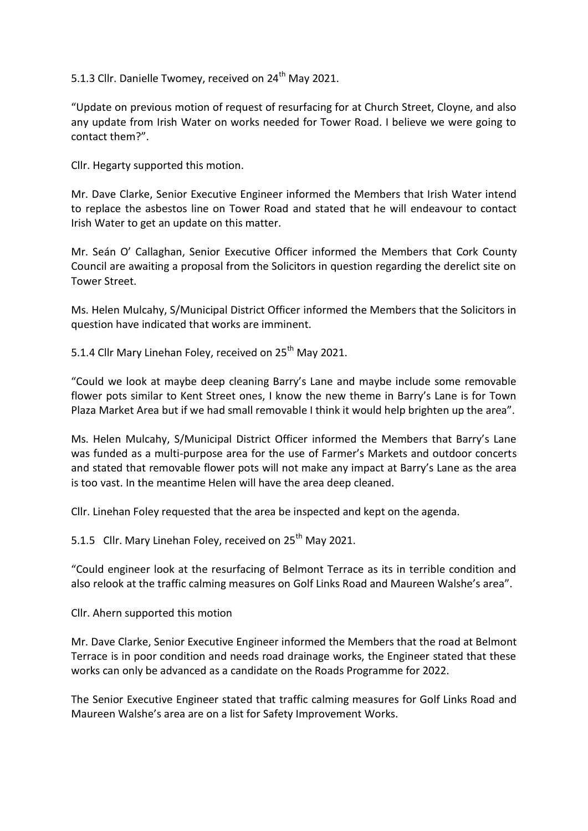5.1.3 Cllr. Danielle Twomey, received on 24<sup>th</sup> May 2021.

"Update on previous motion of request of resurfacing for at Church Street, Cloyne, and also any update from Irish Water on works needed for Tower Road. I believe we were going to contact them?".

Cllr. Hegarty supported this motion.

Mr. Dave Clarke, Senior Executive Engineer informed the Members that Irish Water intend to replace the asbestos line on Tower Road and stated that he will endeavour to contact Irish Water to get an update on this matter.

Mr. Seán O' Callaghan, Senior Executive Officer informed the Members that Cork County Council are awaiting a proposal from the Solicitors in question regarding the derelict site on Tower Street.

Ms. Helen Mulcahy, S/Municipal District Officer informed the Members that the Solicitors in question have indicated that works are imminent.

5.1.4 Cllr Mary Linehan Foley, received on 25<sup>th</sup> Mav 2021.

"Could we look at maybe deep cleaning Barry's Lane and maybe include some removable flower pots similar to Kent Street ones, I know the new theme in Barry's Lane is for Town Plaza Market Area but if we had small removable I think it would help brighten up the area".

Ms. Helen Mulcahy, S/Municipal District Officer informed the Members that Barry's Lane was funded as a multi-purpose area for the use of Farmer's Markets and outdoor concerts and stated that removable flower pots will not make any impact at Barry's Lane as the area is too vast. In the meantime Helen will have the area deep cleaned.

Cllr. Linehan Foley requested that the area be inspected and kept on the agenda.

5.1.5 Cllr. Mary Linehan Foley, received on 25<sup>th</sup> May 2021.

"Could engineer look at the resurfacing of Belmont Terrace as its in terrible condition and also relook at the traffic calming measures on Golf Links Road and Maureen Walshe's area".

Cllr. Ahern supported this motion

Mr. Dave Clarke, Senior Executive Engineer informed the Members that the road at Belmont Terrace is in poor condition and needs road drainage works, the Engineer stated that these works can only be advanced as a candidate on the Roads Programme for 2022.

The Senior Executive Engineer stated that traffic calming measures for Golf Links Road and Maureen Walshe's area are on a list for Safety Improvement Works.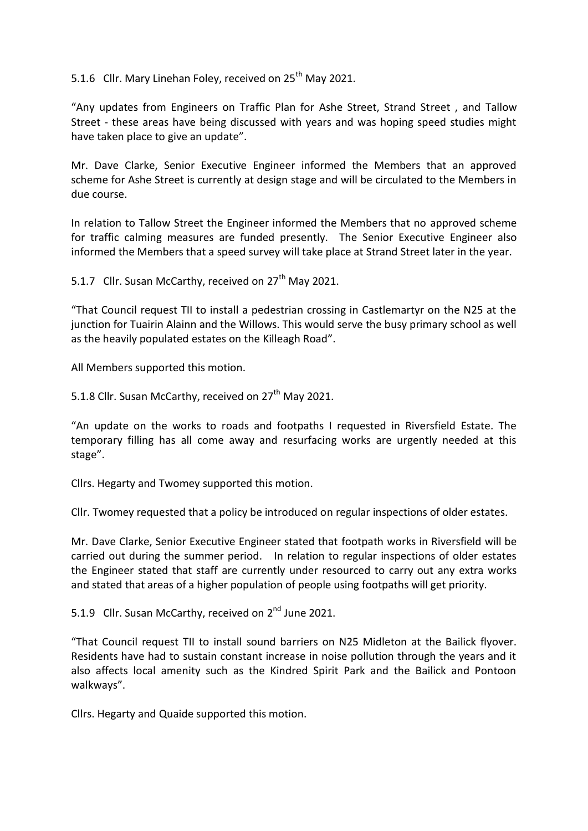5.1.6 Cllr. Mary Linehan Foley, received on 25<sup>th</sup> May 2021.

"Any updates from Engineers on Traffic Plan for Ashe Street, Strand Street , and Tallow Street - these areas have being discussed with years and was hoping speed studies might have taken place to give an update".

Mr. Dave Clarke, Senior Executive Engineer informed the Members that an approved scheme for Ashe Street is currently at design stage and will be circulated to the Members in due course.

In relation to Tallow Street the Engineer informed the Members that no approved scheme for traffic calming measures are funded presently. The Senior Executive Engineer also informed the Members that a speed survey will take place at Strand Street later in the year.

5.1.7 Cllr. Susan McCarthy, received on  $27<sup>th</sup>$  May 2021.

"That Council request TII to install a pedestrian crossing in Castlemartyr on the N25 at the junction for Tuairin Alainn and the Willows. This would serve the busy primary school as well as the heavily populated estates on the Killeagh Road".

All Members supported this motion.

5.1.8 Cllr. Susan McCarthy, received on 27<sup>th</sup> May 2021.

"An update on the works to roads and footpaths I requested in Riversfield Estate. The temporary filling has all come away and resurfacing works are urgently needed at this stage".

Cllrs. Hegarty and Twomey supported this motion.

Cllr. Twomey requested that a policy be introduced on regular inspections of older estates.

Mr. Dave Clarke, Senior Executive Engineer stated that footpath works in Riversfield will be carried out during the summer period. In relation to regular inspections of older estates the Engineer stated that staff are currently under resourced to carry out any extra works and stated that areas of a higher population of people using footpaths will get priority.

5.1.9 Cllr. Susan McCarthy, received on 2<sup>nd</sup> June 2021.

"That Council request TII to install sound barriers on N25 Midleton at the Bailick flyover. Residents have had to sustain constant increase in noise pollution through the years and it also affects local amenity such as the Kindred Spirit Park and the Bailick and Pontoon walkways".

Cllrs. Hegarty and Quaide supported this motion.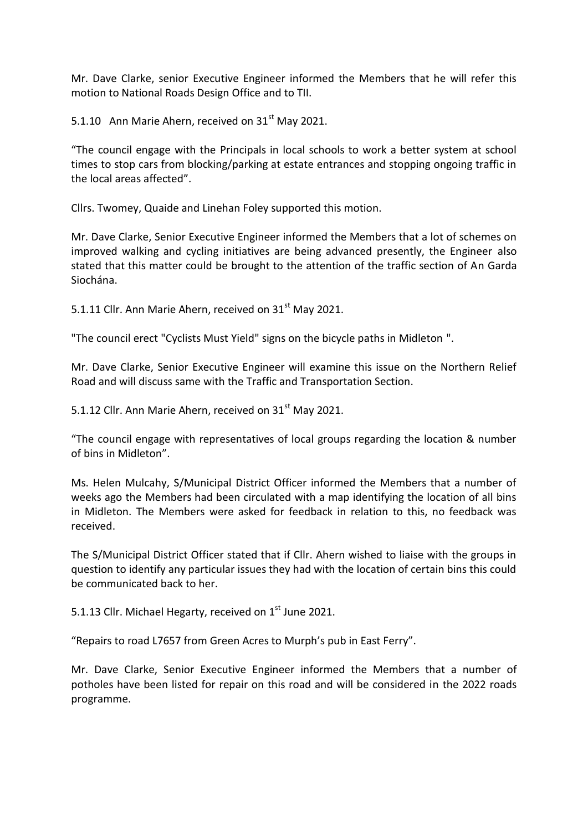Mr. Dave Clarke, senior Executive Engineer informed the Members that he will refer this motion to National Roads Design Office and to TII.

5.1.10 Ann Marie Ahern, received on  $31<sup>st</sup>$  May 2021.

"The council engage with the Principals in local schools to work a better system at school times to stop cars from blocking/parking at estate entrances and stopping ongoing traffic in the local areas affected".

Cllrs. Twomey, Quaide and Linehan Foley supported this motion.

Mr. Dave Clarke, Senior Executive Engineer informed the Members that a lot of schemes on improved walking and cycling initiatives are being advanced presently, the Engineer also stated that this matter could be brought to the attention of the traffic section of An Garda Siochána.

5.1.11 Cllr. Ann Marie Ahern, received on  $31<sup>st</sup>$  May 2021.

"The council erect "Cyclists Must Yield" signs on the bicycle paths in Midleton ".

Mr. Dave Clarke, Senior Executive Engineer will examine this issue on the Northern Relief Road and will discuss same with the Traffic and Transportation Section.

5.1.12 Cllr. Ann Marie Ahern, received on 31<sup>st</sup> May 2021.

"The council engage with representatives of local groups regarding the location & number of bins in Midleton".

Ms. Helen Mulcahy, S/Municipal District Officer informed the Members that a number of weeks ago the Members had been circulated with a map identifying the location of all bins in Midleton. The Members were asked for feedback in relation to this, no feedback was received.

The S/Municipal District Officer stated that if Cllr. Ahern wished to liaise with the groups in question to identify any particular issues they had with the location of certain bins this could be communicated back to her.

5.1.13 Cllr. Michael Hegarty, received on  $1<sup>st</sup>$  June 2021.

"Repairs to road L7657 from Green Acres to Murph's pub in East Ferry".

Mr. Dave Clarke, Senior Executive Engineer informed the Members that a number of potholes have been listed for repair on this road and will be considered in the 2022 roads programme.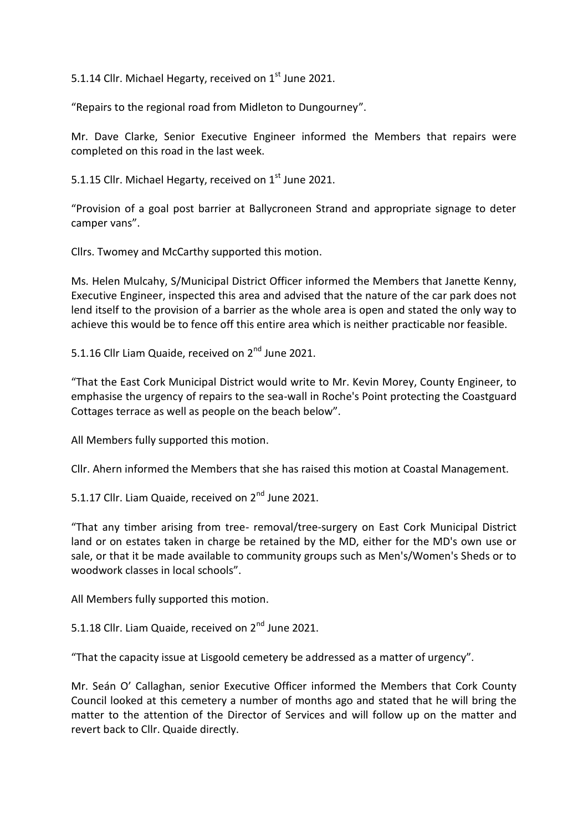5.1.14 Cllr. Michael Hegarty, received on 1<sup>st</sup> June 2021.

"Repairs to the regional road from Midleton to Dungourney".

Mr. Dave Clarke, Senior Executive Engineer informed the Members that repairs were completed on this road in the last week.

5.1.15 Cllr. Michael Hegarty, received on 1<sup>st</sup> June 2021.

"Provision of a goal post barrier at Ballycroneen Strand and appropriate signage to deter camper vans".

Cllrs. Twomey and McCarthy supported this motion.

Ms. Helen Mulcahy, S/Municipal District Officer informed the Members that Janette Kenny, Executive Engineer, inspected this area and advised that the nature of the car park does not lend itself to the provision of a barrier as the whole area is open and stated the only way to achieve this would be to fence off this entire area which is neither practicable nor feasible.

5.1.16 Cllr Liam Quaide, received on  $2^{nd}$  June 2021.

"That the East Cork Municipal District would write to Mr. Kevin Morey, County Engineer, to emphasise the urgency of repairs to the sea-wall in Roche's Point protecting the Coastguard Cottages terrace as well as people on the beach below".

All Members fully supported this motion.

Cllr. Ahern informed the Members that she has raised this motion at Coastal Management.

5.1.17 Cllr. Liam Quaide, received on 2<sup>nd</sup> June 2021.

"That any timber arising from tree- removal/tree-surgery on East Cork Municipal District land or on estates taken in charge be retained by the MD, either for the MD's own use or sale, or that it be made available to community groups such as Men's/Women's Sheds or to woodwork classes in local schools".

All Members fully supported this motion.

5.1.18 Cllr. Liam Quaide, received on 2<sup>nd</sup> June 2021.

"That the capacity issue at Lisgoold cemetery be addressed as a matter of urgency".

Mr. Seán O' Callaghan, senior Executive Officer informed the Members that Cork County Council looked at this cemetery a number of months ago and stated that he will bring the matter to the attention of the Director of Services and will follow up on the matter and revert back to Cllr. Quaide directly.